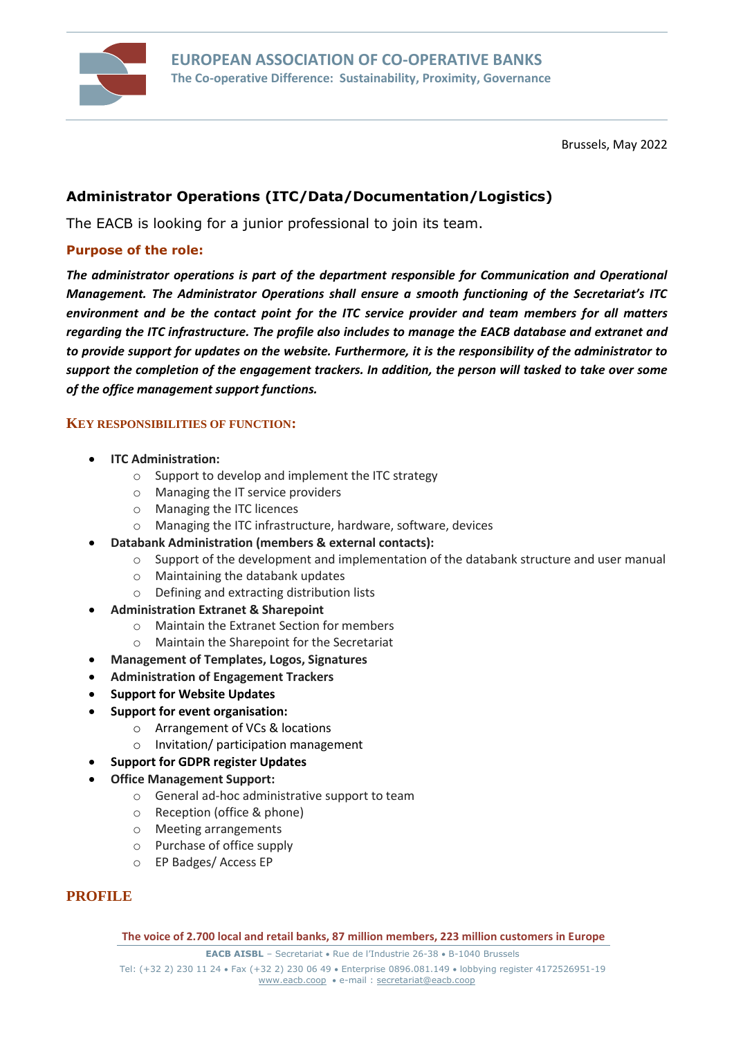

Brussels, May 2022

# **Administrator Operations (ITC/Data/Documentation/Logistics)**

The EACB is looking for a junior professional to join its team.

#### **Purpose of the role:**

*The administrator operations is part of the department responsible for Communication and Operational Management. The Administrator Operations shall ensure a smooth functioning of the Secretariat's ITC environment and be the contact point for the ITC service provider and team members for all matters regarding the ITC infrastructure. The profile also includes to manage the EACB database and extranet and to provide support for updates on the website. Furthermore, it is the responsibility of the administrator to support the completion of the engagement trackers. In addition, the person will tasked to take over some of the office management support functions.*

#### **KEY RESPONSIBILITIES OF FUNCTION:**

- **ITC Administration:**
	- o Support to develop and implement the ITC strategy
	- o Managing the IT service providers
	- o Managing the ITC licences
	- o Managing the ITC infrastructure, hardware, software, devices
- **Databank Administration (members & external contacts):**
	- o Support of the development and implementation of the databank structure and user manual
	- o Maintaining the databank updates
	- o Defining and extracting distribution lists
- **Administration Extranet & Sharepoint**
	- o Maintain the Extranet Section for members
	- o Maintain the Sharepoint for the Secretariat
- **Management of Templates, Logos, Signatures**
- **Administration of Engagement Trackers**
- **Support for Website Updates**
- **Support for event organisation:**
	- o Arrangement of VCs & locations
	- o Invitation/ participation management
- **Support for GDPR register Updates**
- **Office Management Support:**
	- o General ad-hoc administrative support to team
	- o Reception (office & phone)
	- o Meeting arrangements
	- o Purchase of office supply
	- o EP Badges/ Access EP

#### **PROFILE**

**The voice of 2.700 local and retail banks, 87 million members, 223 million customers in Europe**